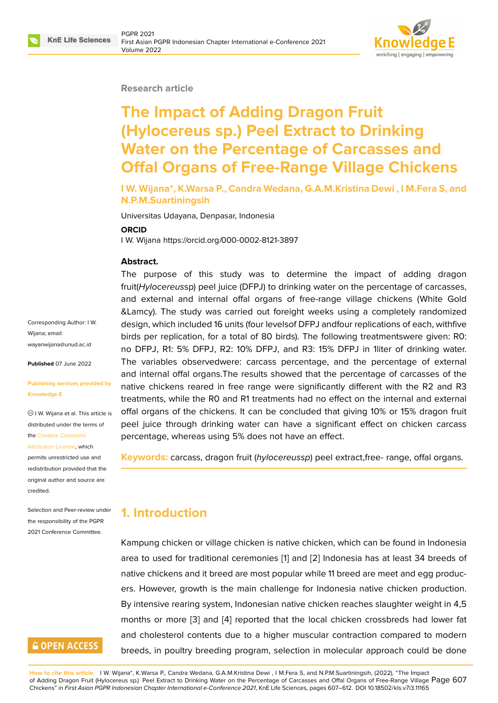### **Research article**

# **The Impact of Adding Dragon Fruit (Hylocereus sp.) Peel Extract to Drinking Water on the Percentage of Carcasses and Offal Organs of Free-Range Village Chickens**

**I W. Wijana\*, K.Warsa P., Candra Wedana, G.A.M.Kristina Dewi , I M.Fera S, and N.P.M.Suartiningsih**

Universitas Udayana, Denpasar, Indonesia

#### **ORCID**

I W. Wijana https://orcid.org/000-0002-8121-3897

### **Abstract.**

The purpose of this study was to determine the impact of adding dragon fruit(*Hylocereus*sp) peel juice (DFPJ) to drinking water on the percentage of carcasses, and external and internal offal organs of free-range village chickens (White Gold &Lamcy). The study was carried out foreight weeks using a completely randomized design, which included 16 units (four levelsof DFPJ andfour replications of each, withfive birds per replication, for a total of 80 birds). The following treatmentswere given: R0: no DFPJ, R1: 5% DFPJ, R2: 10% DFPJ, and R3: 15% DFPJ in 1liter of drinking water. The variables observedwere: carcass percentage, and the percentage of external and internal offal organs.The results showed that the percentage of carcasses of the native chickens reared in free range were significantly different with the R2 and R3 treatments, while the R0 and R1 treatments had no effect on the internal and external offal organs of the chickens. It can be concluded that giving 10% or 15% dragon fruit peel juice through drinking water can have a significant effect on chicken carcass percentage, whereas using 5% does not have an effect.

**Keywords:** carcass, dragon fruit (*hylocereussp*) peel extract,free- range, offal organs.

# **1. Introduction**

Kampung chicken or village chicken is native chicken, which can be found in Indonesia area to used for traditional ceremonies [1] and [2] Indonesia has at least 34 breeds of native chickens and it breed are most popular while 11 breed are meet and egg producers. However, growth is the main challenge for Indonesia native chicken production. By intensive rearing system, Indonesian [na](#page-4-0)tive c[hi](#page-4-1)cken reaches slaughter weight in 4,5 months or more [3] and [4] reported that the local chicken crossbreds had lower fat and cholesterol contents due to a higher muscular contraction compared to modern breeds, in poultry breeding program, selection in molecular approach could be done

**How to cite this article**: I W. Wijana\*, K.Warsa P., Candra Wedana, G.A.M.Kristina Dewi , I M.Fera S, and N.P.M.Suartiningsih, (2022), "The Impact of Adding Dragon Fruit (Hylocereus sp.) Peel Extract to Drinking Water on the Percentage of Carcasses and Offal Organs of Free-Range Village  $\overline{\textsf{Page}\ 607}$ Chickens" in *First Asian PGPR Indonesian Chapter International e-Conference 2021*, KnE Life Sciences, pages 607–612. DOI 10.18502/kls.v7i3.11165

Corresponding Author: I W. Wijana; email: wayanwijana@unud.ac.id

**Published** 07 June 2022

#### **[Publishing services prov](mailto:wayanwijana@unud.ac.id)ided by Knowledge E**

I W. Wijana et al. This article is distributed under the terms of the Creative Commons

permits unrestricted use and redistribution provided that the

Attribution License, which

orig[inal author and sou](https://creativecommons.org/licenses/by/4.0/)rce are [credited.](https://creativecommons.org/licenses/by/4.0/) Selection and Peer-review under

the responsibility of the PGPR 2021 Conference Committee.

# **GOPEN ACCESS**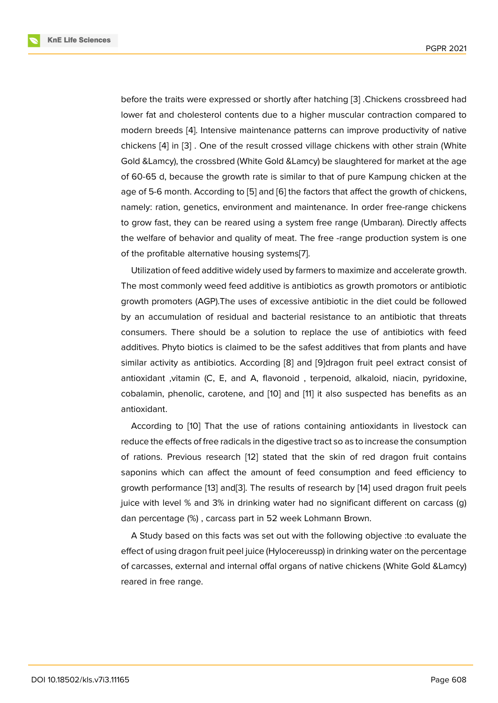before the traits were expressed or shortly after hatching [3] .Chickens crossbreed had lower fat and cholesterol contents due to a higher muscular contraction compared to modern breeds [4]. Intensive maintenance patterns can improve productivity of native chickens [4] in [3] . One of the result crossed village chic[ke](#page-4-2)ns with other strain (White Gold &Lamcy), the crossbred (White Gold &Lamcy) be slaughtered for market at the age of 60-65 d, bec[au](#page-4-3)se the growth rate is similar to that of pure Kampung chicken at the age of 5-[6 m](#page-4-3)on[th](#page-4-2). According to [5] and [6] the factors that affect the growth of chickens, namely: ration, genetics, environment and maintenance. In order free-range chickens to grow fast, they can be reared using a system free range (Umbaran). Directly affects the welfare of behavior and qu[ali](#page-4-4)ty of [me](#page-4-5)at. The free -range production system is one of the profitable alternative housing systems[7].

Utilization of feed additive widely used by farmers to maximize and accelerate growth. The most commonly weed feed additive is antibiotics as growth promotors or antibiotic growth promoters (AGP).The uses of excessi[ve](#page-4-6) antibiotic in the diet could be followed by an accumulation of residual and bacterial resistance to an antibiotic that threats consumers. There should be a solution to replace the use of antibiotics with feed additives. Phyto biotics is claimed to be the safest additives that from plants and have similar activity as antibiotics. According [8] and [9]dragon fruit peel extract consist of antioxidant ,vitamin (C, E, and A, flavonoid , terpenoid, alkaloid, niacin, pyridoxine, cobalamin, phenolic, carotene, and [10] and [11] it also suspected has benefits as an antioxidant.

According to [10] That the use of rations containing antioxidants in livestock can reduce the effects of free radicals in th[e d](#page-5-0)igesti[ve](#page-5-1) tract so as to increase the consumption of rations. Previous research [12] stated that the skin of red dragon fruit contains saponins which [ca](#page-5-0)n affect the amount of feed consumption and feed efficiency to growth performance [13] and[3]. The results of research by [14] used dragon fruit peels juice with level % and 3% in dr[ink](#page-5-2)ing water had no significant different on carcass (g) dan percentage (%) , carcass part in 52 week Lohmann Brown.

A Study based on [this](#page-5-3) fact[s](#page-4-2) was set out with the followin[g o](#page-5-4)bjective :to evaluate the effect of using dragon fruit peel juice (Hylocereussp) in drinking water on the percentage of carcasses, external and internal offal organs of native chickens (White Gold &Lamcy) reared in free range.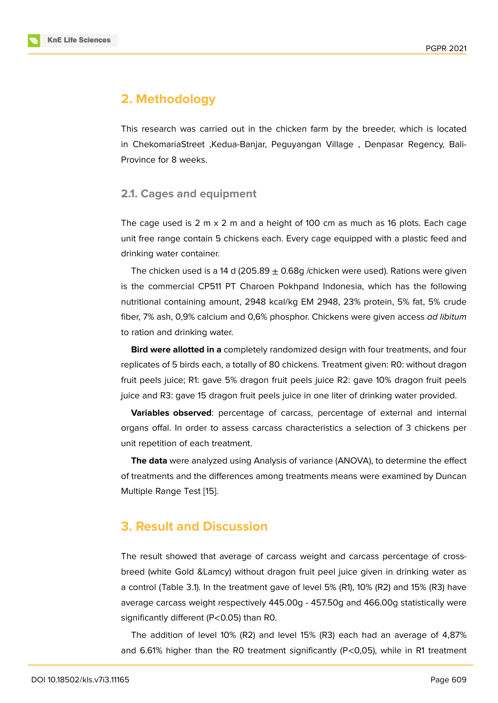# **2. Methodology**

This research was carried out in the chicken farm by the breeder, which is located in ChekomariaStreet ,Kedua-Banjar, Peguyangan Village , Denpasar Regency, Bali-Province for 8 weeks.

### **2.1. Cages and equipment**

The cage used is  $2 \text{ m} \times 2 \text{ m}$  and a height of 100 cm as much as 16 plots. Each cage unit free range contain 5 chickens each. Every cage equipped with a plastic feed and drinking water container.

The chicken used is a 14 d (205.89  $\pm$  0.68g /chicken were used). Rations were given is the commercial CP511 PT Charoen Pokhpand Indonesia, which has the following nutritional containing amount, 2948 kcal/kg EM 2948, 23% protein, 5% fat, 5% crude fiber, 7% ash, 0,9% calcium and 0,6% phosphor. Chickens were given access *ad libitum* to ration and drinking water.

**Bird were allotted in a** completely randomized design with four treatments, and four replicates of 5 birds each, a totally of 80 chickens. Treatment given: R0: without dragon fruit peels juice; R1: gave 5% dragon fruit peels juice R2: gave 10% dragon fruit peels juice and R3: gave 15 dragon fruit peels juice in one liter of drinking water provided.

**Variables observed**: percentage of carcass, percentage of external and internal organs offal. In order to assess carcass characteristics a selection of 3 chickens per unit repetition of each treatment.

**The data** were analyzed using Analysis of variance (ANOVA), to determine the effect of treatments and the differences among treatments means were examined by Duncan Multiple Range Test [15].

# **3. Result and [Di](#page-5-5)scussion**

The result showed that average of carcass weight and carcass percentage of crossbreed (white Gold &Lamcy) without dragon fruit peel juice given in drinking water as a control (Table 3.1). In the treatment gave of level 5% (R1), 10% (R2) and 15% (R3) have average carcass weight respectively 445.00g - 457.50g and 466.00g statistically were significantly different (P<0.05) than R0.

The addition of level 10% (R2) and level 15% (R3) each had an average of 4,87% and 6.61% higher than the R0 treatment significantly (P<0,05), while in R1 treatment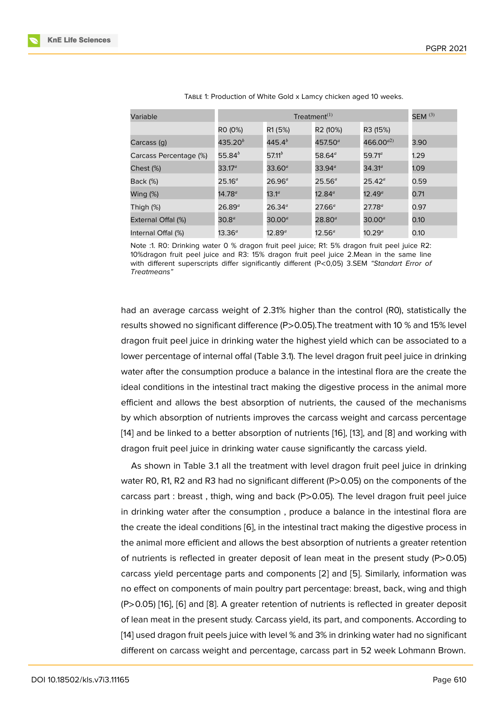| Variable               | Treatment $(1)$    |                    |                     |                    | SEM $^{(3)}$ |
|------------------------|--------------------|--------------------|---------------------|--------------------|--------------|
|                        | RO (0%)            | R1 (5%)            | R2 (10%)            | R3 (15%)           |              |
| Carcass (g)            | 435.20 $^b$        | 445.4 $^{b}$       | 457.50 <sup>a</sup> | 466.00 $a^{2}$     | 3.90         |
| Carcass Percentage (%) | 55.84 $^{b}$       | 57.11 <sup>b</sup> | 58.64 $a$           | $59.71^a$          | 1.29         |
| Chest (%)              | $33.17^a$          | $33.60^a$          | 33.94 <sup>a</sup>  | 34.31 <sup>a</sup> | 1.09         |
| Back (%)               | $25.16^{a}$        | $26.96^a$          | $25.56^a$           | $25.42^{\circ}$    | 0.59         |
| Wing (%)               | $14.78^{a}$        | $13.1^a$           | $12.84^a$           | $12.49^a$          | 0.71         |
| Thigh (%)              | $26.89^{a}$        | $26.34^{a}$        | $27.66^{\circ}$     | $27.78^{a}$        | 0.97         |
| External Offal (%)     | 30.8 <sup>a</sup>  | $30.00^a$          | $28.80^{a}$         | $30.00^a$          | 0.10         |
| Internal Offal (%)     | 13.36 <sup>a</sup> | $12.89^{a}$        | $12.56^a$           | $10.29^{a}$        | 0.10         |

Table 1: Production of White Gold x Lamcy chicken aged 10 weeks.

Note :1. R0: Drinking water 0 % dragon fruit peel juice; R1: 5% dragon fruit peel juice R2: 10%dragon fruit peel juice and R3: 15% dragon fruit peel juice 2.Mean in the same line with different superscripts differ significantly different (P<0,05) 3.SEM *"Standart Error of Treatmeans"*

had an average carcass weight of 2.31% higher than the control (R0), statistically the results showed no significant difference (P>0.05).The treatment with 10 % and 15% level dragon fruit peel juice in drinking water the highest yield which can be associated to a lower percentage of internal offal (Table 3.1). The level dragon fruit peel juice in drinking water after the consumption produce a balance in the intestinal flora are the create the ideal conditions in the intestinal tract making the digestive process in the animal more efficient and allows the best absorption of nutrients, the caused of the mechanisms by which absorption of nutrients improves the carcass weight and carcass percentage [14] and be linked to a better absorption of nutrients [16], [13], and [8] and working with dragon fruit peel juice in drinking water cause significantly the carcass yield.

As shown in Table 3.1 all the treatment with level dragon fruit peel juice in drinking [wa](#page-5-4)ter R0, R1, R2 and R3 had no significant different (P[>](#page-5-6)0.[05\)](#page-5-3) on th[e c](#page-5-7)omponents of the carcass part : breast, thigh, wing and back (P>0.05). The level dragon fruit peel juice in drinking water after the consumption , produce a balance in the intestinal flora are the create the ideal conditions [6], in the intestinal tract making the digestive process in the animal more efficient and allows the best absorption of nutrients a greater retention of nutrients is reflected in greater deposit of lean meat in the present study (P>0.05) carcass yield percentage parts [a](#page-4-5)nd components [2] and [5]. Similarly, information was no effect on components of main poultry part percentage: breast, back, wing and thigh (P>0.05) [16], [6] and [8]. A greater retention of nutrients is reflected in greater deposit of lean meat in the present study. Carcass yield, it[s p](#page-4-1)art, a[nd](#page-4-4) components. According to [14] used dragon fruit peels juice with level % and 3% in drinking water had no significant different [on](#page-5-6) c[arc](#page-4-5)ass [we](#page-5-7)ight and percentage, carcass part in 52 week Lohmann Brown.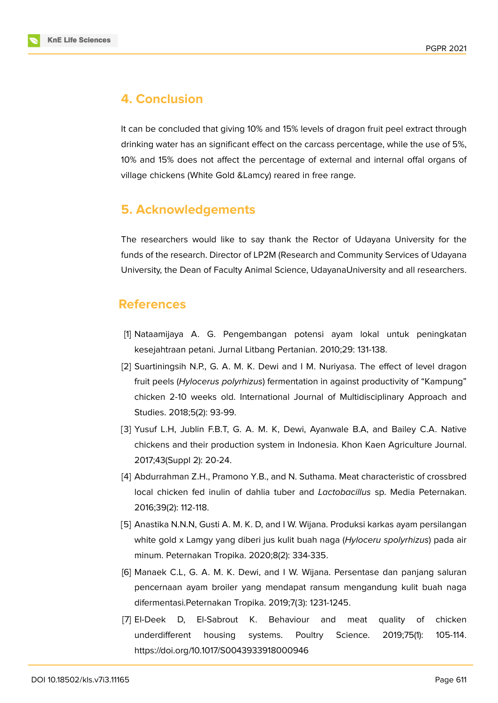

### **4. Conclusion**

It can be concluded that giving 10% and 15% levels of dragon fruit peel extract through drinking water has an significant effect on the carcass percentage, while the use of 5%, 10% and 15% does not affect the percentage of external and internal offal organs of village chickens (White Gold &Lamcy) reared in free range.

# **5. Acknowledgements**

The researchers would like to say thank the Rector of Udayana University for the funds of the research. Director of LP2M (Research and Community Services of Udayana University, the Dean of Faculty Animal Science, UdayanaUniversity and all researchers.

### **References**

- <span id="page-4-0"></span>[1] Nataamijaya A. G. Pengembangan potensi ayam lokal untuk peningkatan kesejahtraan petani. Jurnal Litbang Pertanian. 2010;29: 131-138.
- <span id="page-4-1"></span>[2] Suartiningsih N.P., G. A. M. K. Dewi and I M. Nuriyasa. The effect of level dragon fruit peels (*Hylocerus polyrhizus*) fermentation in against productivity of "Kampung" chicken 2-10 weeks old. International Journal of Multidisciplinary Approach and Studies. 2018;5(2): 93-99.
- <span id="page-4-2"></span>[3] Yusuf L.H, Jublin F.B.T, G. A. M. K, Dewi, Ayanwale B.A, and Bailey C.A. Native chickens and their production system in Indonesia. Khon Kaen Agriculture Journal. 2017;43(Suppl 2): 20-24.
- <span id="page-4-3"></span>[4] Abdurrahman Z.H., Pramono Y.B., and N. Suthama. Meat characteristic of crossbred local chicken fed inulin of dahlia tuber and *Lactobacillus* sp. Media Peternakan. 2016;39(2): 112-118.
- <span id="page-4-4"></span>[5] Anastika N.N.N, Gusti A. M. K. D, and I W. Wijana. Produksi karkas ayam persilangan white gold x Lamgy yang diberi jus kulit buah naga (*Hyloceru spolyrhizus*) pada air minum. Peternakan Tropika. 2020;8(2): 334-335.
- <span id="page-4-5"></span>[6] Manaek C.L, G. A. M. K. Dewi, and I W. Wijana. Persentase dan panjang saluran pencernaan ayam broiler yang mendapat ransum mengandung kulit buah naga difermentasi.Peternakan Tropika. 2019;7(3): 1231-1245.
- <span id="page-4-6"></span>[7] El-Deek D, El-Sabrout K. Behaviour and meat quality of chicken underdifferent housing systems. Poultry Science. 2019;75(1): 105-114. https://doi.org/10.1017/S0043933918000946